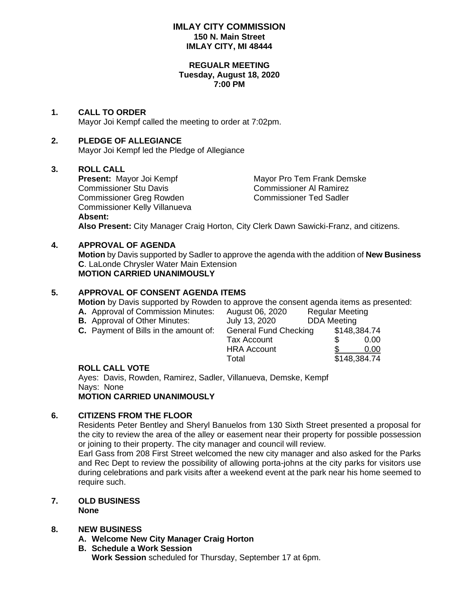## **IMLAY CITY COMMISSION 150 N. Main Street IMLAY CITY, MI 48444**

#### **REGUALR MEETING Tuesday, August 18, 2020 7:00 PM**

## **1. CALL TO ORDER**

Mayor Joi Kempf called the meeting to order at 7:02pm.

## **2. PLEDGE OF ALLEGIANCE**

Mayor Joi Kempf led the Pledge of Allegiance

## **3. ROLL CALL**

**Present:** Mayor Joi Kempf Mayor Pro Tem Frank Demske Commissioner Stu Davis Commissioner Al Ramirez Commissioner Greg Rowden Commissioner Ted Sadler Commissioner Kelly Villanueva **Absent:**

**Also Present:** City Manager Craig Horton, City Clerk Dawn Sawicki-Franz, and citizens.

## **4. APPROVAL OF AGENDA**

**Motion** by Davis supported by Sadler to approve the agenda with the addition of **New Business C**. LaLonde Chrysler Water Main Extension **MOTION CARRIED UNANIMOUSLY**

### **5. APPROVAL OF CONSENT AGENDA ITEMS**

**Motion** by Davis supported by Rowden to approve the consent agenda items as presented:

- 
- 
- 
- **A.** Approval of Commission Minutes: August 06, 2020 Regular Meeting **B.** Approval of Other Minutes: July 13, 2020 DDA Meeting **C.** Payment of Bills in the amount of: General Fund Checking \$148,384.74 Tax Account \$ 0.00 HRA Account \$ 0.00 Total \$148,384.74

## **ROLL CALL VOTE**

Ayes: Davis, Rowden, Ramirez, Sadler, Villanueva, Demske, Kempf Nays: None **MOTION CARRIED UNANIMOUSLY**

## **6. CITIZENS FROM THE FLOOR**

Residents Peter Bentley and Sheryl Banuelos from 130 Sixth Street presented a proposal for the city to review the area of the alley or easement near their property for possible possession or joining to their property. The city manager and council will review.

Earl Gass from 208 First Street welcomed the new city manager and also asked for the Parks and Rec Dept to review the possibility of allowing porta-johns at the city parks for visitors use during celebrations and park visits after a weekend event at the park near his home seemed to require such.

#### **7. OLD BUSINESS None**

## **8. NEW BUSINESS**

**A. Welcome New City Manager Craig Horton**

**B. Schedule a Work Session Work Session** scheduled for Thursday, September 17 at 6pm.